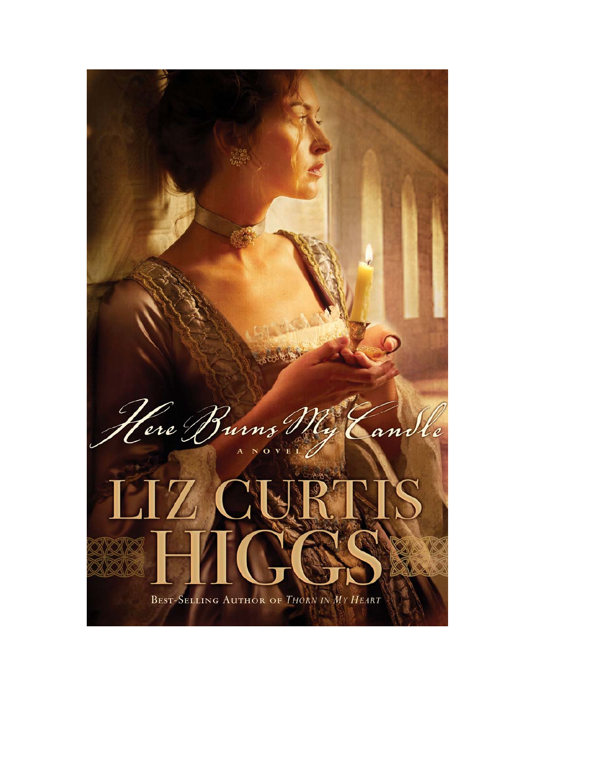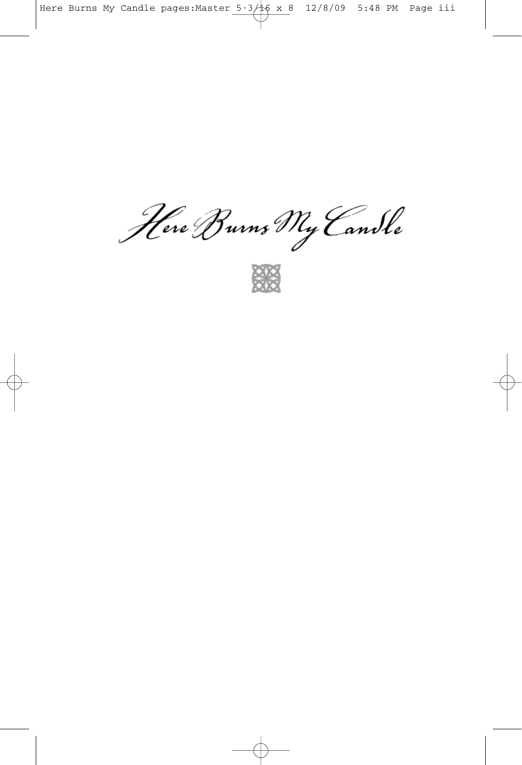Here Burns My Camble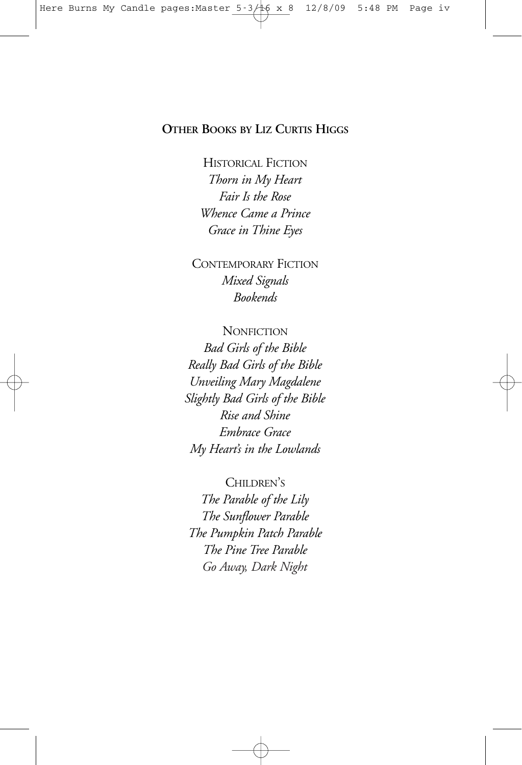#### **OTHER BOOKS BY LIZ CURTIS HIGGS**

HISTORICAL FICTION *Thorn in My Heart Fair Is the Rose Whence Came a Prince Grace in Thine Eyes*

CONTEMPORARY FICTION *Mixed Signals Bookends*

**NONFICTION** 

*Bad Girls of the Bible Really Bad Girls of the Bible Unveiling Mary Magdalene Slightly Bad Girls of the Bible Rise and Shine Embrace Grace My Heart's in the Lowlands*

CHILDREN'S *The Parable of the Lily The Sunflower Parable The Pumpkin Patch Parable The Pine Tree Parable Go Away, Dark Night*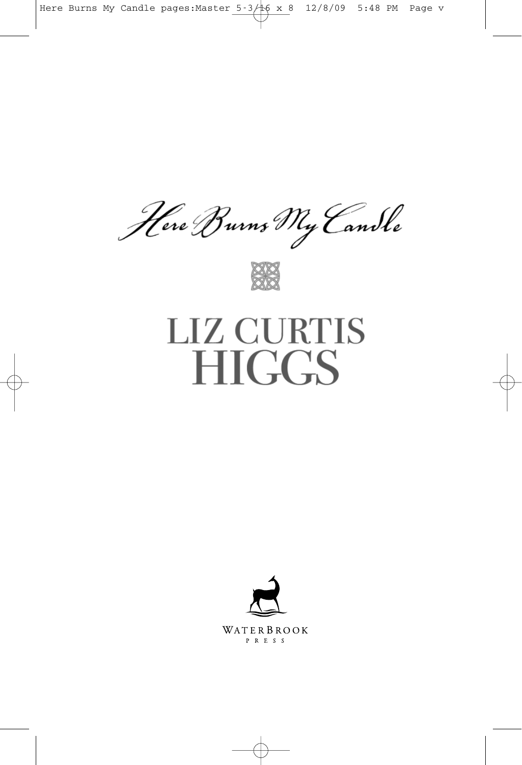Here Burns My Camble



# **LIZ CURTIS HIGGS**

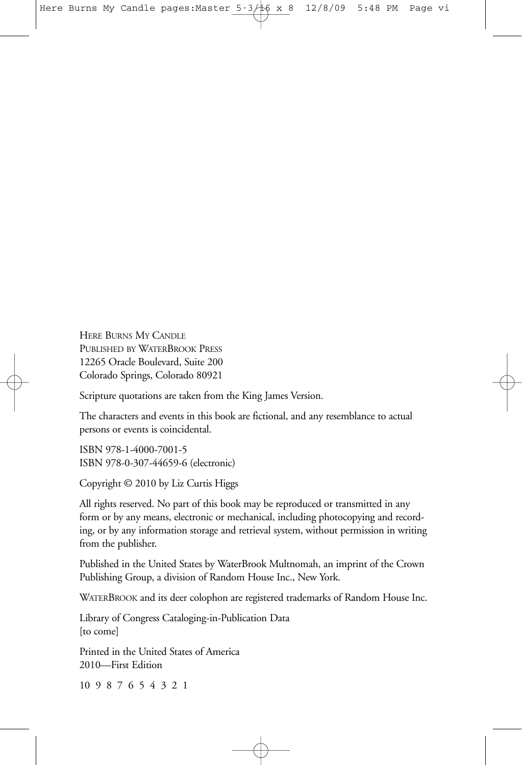HERE BURNS MY CANDLE PUBLISHED BY WATERBROOK PRESS 12265 Oracle Boulevard, Suite 200 Colorado Springs, Colorado 80921

Scripture quotations are taken from the King James Version.

The characters and events in this book are fictional, and any resemblance to actual persons or events is coincidental.

ISBN 978-1-4000-7001-5 ISBN 978-0-307-44659-6 (electronic)

Copyright © 2010 by Liz Curtis Higgs

All rights reserved. No part of this book may be reproduced or transmitted in any form or by any means, electronic or mechanical, including photocopying and recording, or by any information storage and retrieval system, without permission in writing from the publisher.

Published in the United States by WaterBrook Multnomah, an imprint of the Crown Publishing Group, a division of Random House Inc., New York.

WATERBROOK and its deer colophon are registered trademarks of Random House Inc.

Library of Congress Cataloging-in-Publication Data [to come]

Printed in the United States of America 2010—First Edition

10 9 8 7 6 5 4 3 2 1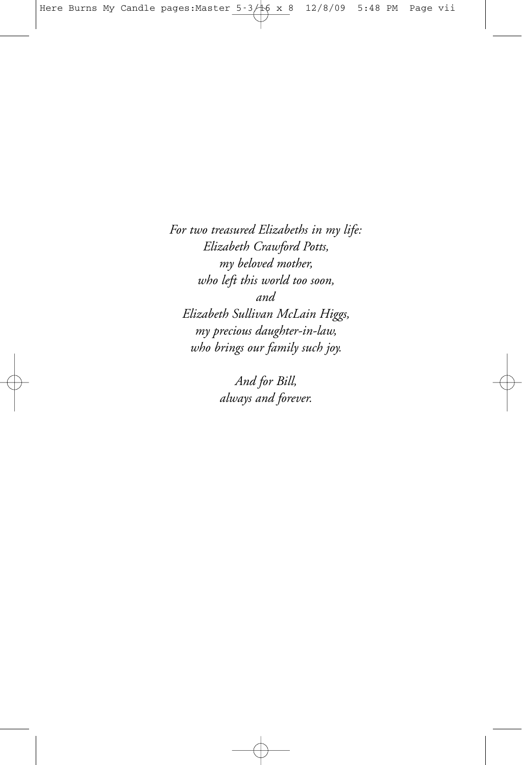*For two treasured Elizabeths in my life: Elizabeth Crawford Potts, my beloved mother, who left this world too soon, and Elizabeth Sullivan McLain Higgs, my precious daughter-in-law, who brings our family such joy.*

> *And for Bill, always and forever.*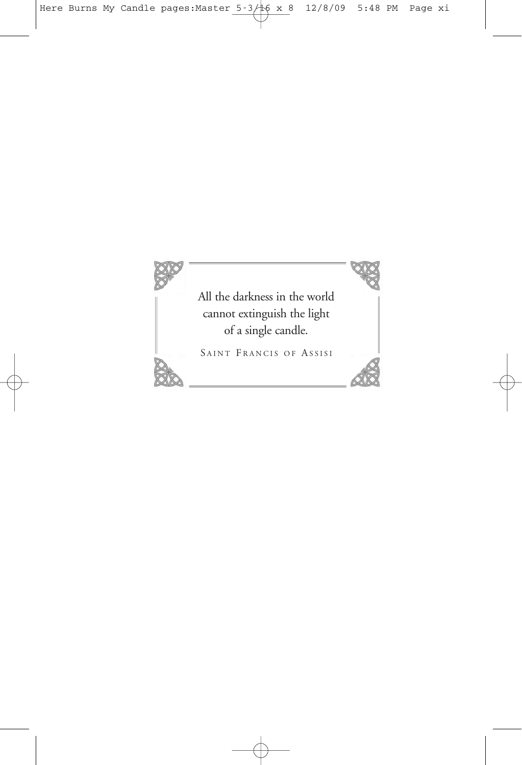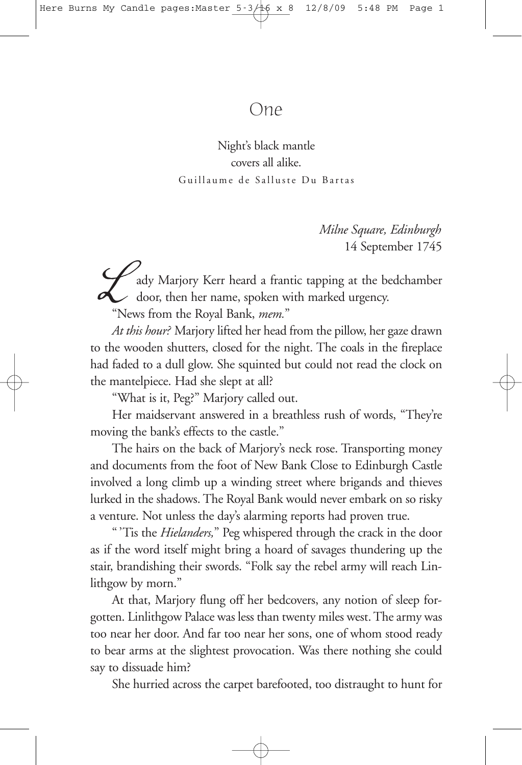## One

Night's black mantle covers all alike. Guillaume de Salluste Du Bartas

> *Milne Square, Edinburgh* 14 September 1745

*L*ady Marjory Kerr heard <sup>a</sup> frantic tapping at the bedchamber door, then her name, spoken with marked urgency.

"News from the Royal Bank, *mem.*"

*At this hour?* Marjory lifted her head from the pillow, her gaze drawn to the wooden shutters, closed for the night. The coals in the fireplace had faded to a dull glow. She squinted but could not read the clock on the mantelpiece. Had she slept at all?

"What is it, Peg?" Marjory called out.

Her maidservant answered in a breathless rush of words, "They're moving the bank's effects to the castle."

The hairs on the back of Marjory's neck rose. Transporting money and documents from the foot of New Bank Close to Edinburgh Castle involved a long climb up a winding street where brigands and thieves lurked in the shadows. The Royal Bank would never embark on so risky a venture. Not unless the day's alarming reports had proven true.

" 'Tis the *Hielanders,*" Peg whispered through the crack in the door as if the word itself might bring a hoard of savages thundering up the stair, brandishing their swords. "Folk say the rebel army will reach Linlithgow by morn."

At that, Marjory flung off her bedcovers, any notion of sleep forgotten. Linlithgow Palace was less than twenty miles west.The army was too near her door. And far too near her sons, one of whom stood ready to bear arms at the slightest provocation. Was there nothing she could say to dissuade him?

She hurried across the carpet barefooted, too distraught to hunt for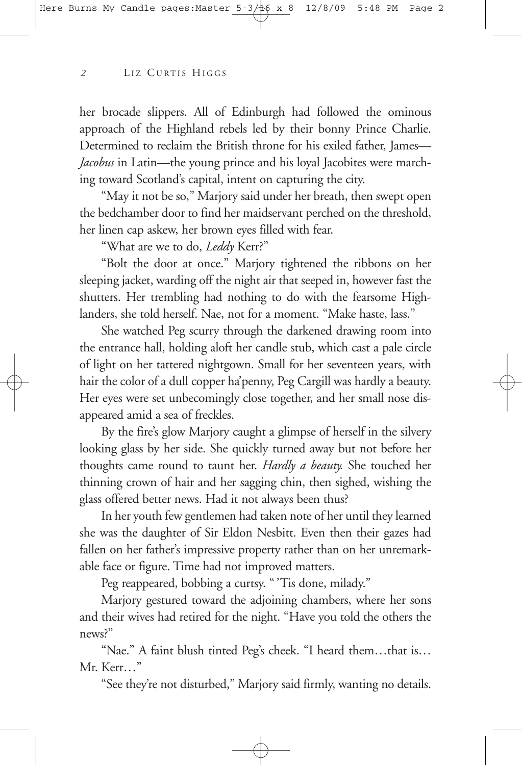her brocade slippers. All of Edinburgh had followed the ominous approach of the Highland rebels led by their bonny Prince Charlie. Determined to reclaim the British throne for his exiled father, James— *Jacobus* in Latin—the young prince and his loyal Jacobites were marching toward Scotland's capital, intent on capturing the city.

"May it not be so," Marjory said under her breath, then swept open the bedchamber door to find her maidservant perched on the threshold, her linen cap askew, her brown eyes filled with fear.

"What are we to do, *Leddy* Kerr?"

"Bolt the door at once." Marjory tightened the ribbons on her sleeping jacket, warding off the night air that seeped in, however fast the shutters. Her trembling had nothing to do with the fearsome Highlanders, she told herself. Nae, not for a moment. "Make haste, lass."

She watched Peg scurry through the darkened drawing room into the entrance hall, holding aloft her candle stub, which cast a pale circle of light on her tattered nightgown. Small for her seventeen years, with hair the color of a dull copper ha'penny, Peg Cargill was hardly a beauty. Her eyes were set unbecomingly close together, and her small nose disappeared amid a sea of freckles.

By the fire's glow Marjory caught a glimpse of herself in the silvery looking glass by her side. She quickly turned away but not before her thoughts came round to taunt her. *Hardly a beauty.* She touched her thinning crown of hair and her sagging chin, then sighed, wishing the glass offered better news. Had it not always been thus?

In her youth few gentlemen had taken note of her until they learned she was the daughter of Sir Eldon Nesbitt. Even then their gazes had fallen on her father's impressive property rather than on her unremarkable face or figure. Time had not improved matters.

Peg reappeared, bobbing a curtsy. " 'Tis done, milady."

Marjory gestured toward the adjoining chambers, where her sons and their wives had retired for the night. "Have you told the others the news?"

"Nae." A faint blush tinted Peg's cheek. "I heard them…that is… Mr. Kerr…"

"See they're not disturbed," Marjory said firmly, wanting no details.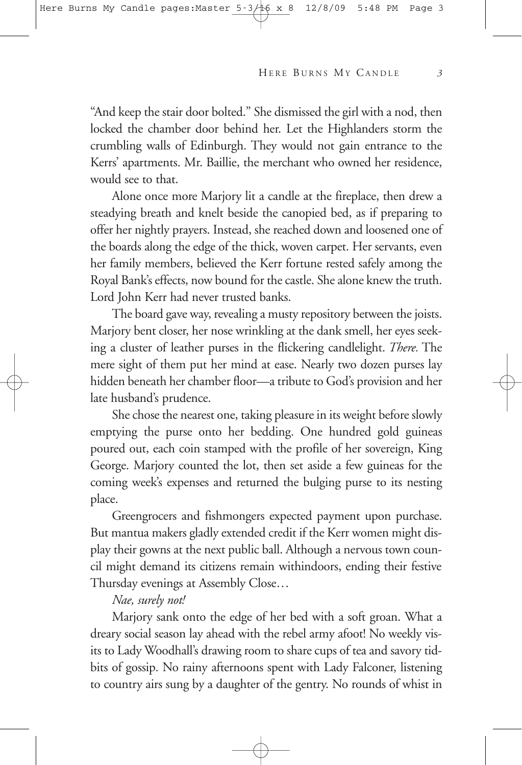"And keep the stair door bolted." She dismissed the girl with a nod, then locked the chamber door behind her. Let the Highlanders storm the crumbling walls of Edinburgh. They would not gain entrance to the Kerrs' apartments. Mr. Baillie, the merchant who owned her residence, would see to that.

Alone once more Marjory lit a candle at the fireplace, then drew a steadying breath and knelt beside the canopied bed, as if preparing to offer her nightly prayers. Instead, she reached down and loosened one of the boards along the edge of the thick, woven carpet. Her servants, even her family members, believed the Kerr fortune rested safely among the Royal Bank's effects, now bound for the castle. She alone knew the truth. Lord John Kerr had never trusted banks.

The board gave way, revealing a musty repository between the joists. Marjory bent closer, her nose wrinkling at the dank smell, her eyes seeking a cluster of leather purses in the flickering candlelight. *There.* The mere sight of them put her mind at ease. Nearly two dozen purses lay hidden beneath her chamber floor—a tribute to God's provision and her late husband's prudence.

She chose the nearest one, taking pleasure in its weight before slowly emptying the purse onto her bedding. One hundred gold guineas poured out, each coin stamped with the profile of her sovereign, King George. Marjory counted the lot, then set aside a few guineas for the coming week's expenses and returned the bulging purse to its nesting place.

Greengrocers and fishmongers expected payment upon purchase. But mantua makers gladly extended credit if the Kerr women might display their gowns at the next public ball. Although a nervous town council might demand its citizens remain withindoors, ending their festive Thursday evenings at Assembly Close…

#### *Nae, surely not!*

Marjory sank onto the edge of her bed with a soft groan. What a dreary social season lay ahead with the rebel army afoot! No weekly visits to Lady Woodhall's drawing room to share cups of tea and savory tidbits of gossip. No rainy afternoons spent with Lady Falconer, listening to country airs sung by a daughter of the gentry. No rounds of whist in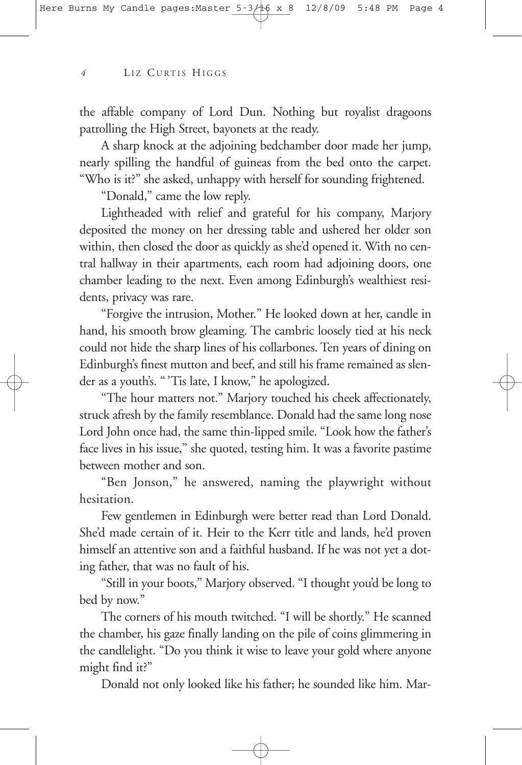the affable company of Lord Dun. Nothing but royalist dragoons patrolling the High Street, bayonets at the ready.

A sharp knock at the adjoining bedchamber door made her jump, nearly spilling the handful of guineas from the bed onto the carpet. "Who is it?" she asked, unhappy with herself for sounding frightened.

"Donald," came the low reply.

Lightheaded with relief and grateful for his company, Marjory deposited the money on her dressing table and ushered her older son within, then closed the door as quickly as she'd opened it. With no central hallway in their apartments, each room had adjoining doors, one chamber leading to the next. Even among Edinburgh's wealthiest residents, privacy was rare.

"Forgive the intrusion, Mother." He looked down at her, candle in hand, his smooth brow gleaming. The cambric loosely tied at his neck could not hide the sharp lines of his collarbones. Ten years of dining on Edinburgh's finest mutton and beef, and still his frame remained as slender as a youth's. " 'Tis late, I know," he apologized.

"The hour matters not." Marjory touched his cheek affectionately, struck afresh by the family resemblance. Donald had the same long nose Lord John once had, the same thin-lipped smile. "Look how the father's face lives in his issue," she quoted, testing him. It was a favorite pastime between mother and son.

"Ben Jonson," he answered, naming the playwright without hesitation.

Few gentlemen in Edinburgh were better read than Lord Donald. She'd made certain of it. Heir to the Kerr title and lands, he'd proven himself an attentive son and a faithful husband. If he was not yet a doting father, that was no fault of his.

"Still in your boots," Marjory observed. "I thought you'd be long to bed by now."

The corners of his mouth twitched. "I will be shortly." He scanned the chamber, his gaze finally landing on the pile of coins glimmering in the candlelight. "Do you think it wise to leave your gold where anyone might find it?"

Donald not only looked like his father; he sounded like him. Mar-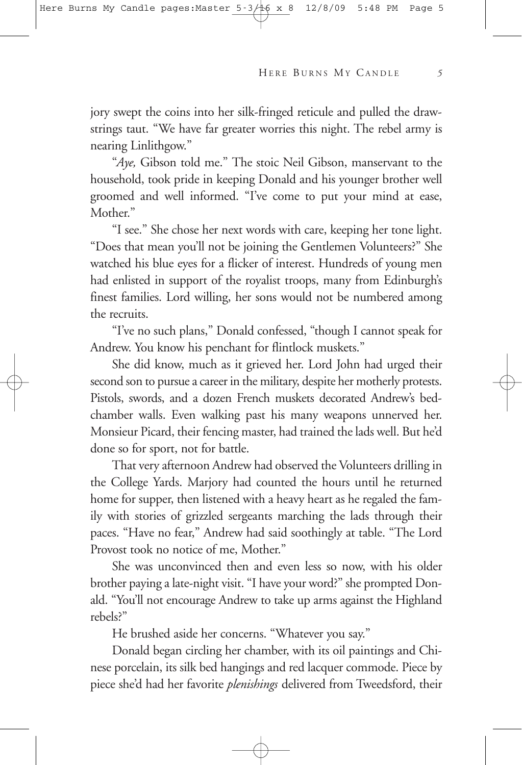jory swept the coins into her silk-fringed reticule and pulled the drawstrings taut. "We have far greater worries this night. The rebel army is nearing Linlithgow."

"*Aye,* Gibson told me." The stoic Neil Gibson, manservant to the household, took pride in keeping Donald and his younger brother well groomed and well informed. "I've come to put your mind at ease, Mother."

"I see." She chose her next words with care, keeping her tone light. "Does that mean you'll not be joining the Gentlemen Volunteers?" She watched his blue eyes for a flicker of interest. Hundreds of young men had enlisted in support of the royalist troops, many from Edinburgh's finest families. Lord willing, her sons would not be numbered among the recruits.

"I've no such plans," Donald confessed, "though I cannot speak for Andrew. You know his penchant for flintlock muskets."

She did know, much as it grieved her. Lord John had urged their second son to pursue a career in the military, despite her motherly protests. Pistols, swords, and a dozen French muskets decorated Andrew's bedchamber walls. Even walking past his many weapons unnerved her. Monsieur Picard, their fencing master, had trained thelads well. But he'd done so for sport, not for battle.

That very afternoon Andrew had observed the Volunteers drilling in the College Yards. Marjory had counted the hours until he returned home for supper, then listened with a heavy heart as he regaled the family with stories of grizzled sergeants marching the lads through their paces. "Have no fear," Andrew had said soothingly at table. "The Lord Provost took no notice of me, Mother."

She was unconvinced then and even less so now, with his older brother paying a late-night visit. "I have your word?" she prompted Donald. "You'll not encourage Andrew to take up arms against the Highland rebels?"

He brushed aside her concerns. "Whatever you say."

Donald began circling her chamber, with its oil paintings and Chinese porcelain, its silk bed hangings and red lacquer commode. Piece by piece she'd had her favorite *plenishings* delivered from Tweedsford, their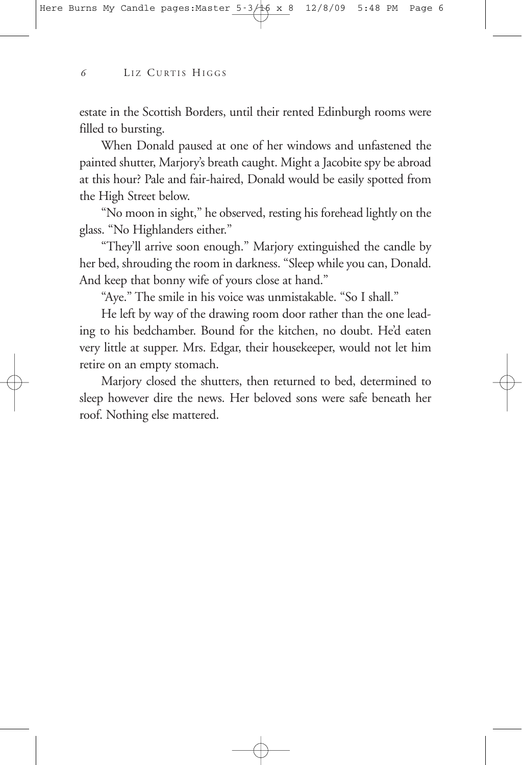estate in the Scottish Borders, until their rented Edinburgh rooms were filled to bursting.

When Donald paused at one of her windows and unfastened the painted shutter, Marjory's breath caught. Might a Jacobite spy be abroad at this hour? Pale and fair-haired, Donald would be easily spotted from the High Street below.

"No moon in sight," he observed, resting his forehead lightly on the glass. "No Highlanders either."

"They'll arrive soon enough." Marjory extinguished the candle by her bed, shrouding the room in darkness. "Sleep while you can, Donald. And keep that bonny wife of yours close at hand."

"Aye." The smile in his voice was unmistakable. "So I shall."

He left by way of the drawing room door rather than the one leading to his bedchamber. Bound for the kitchen, no doubt. He'd eaten very little at supper. Mrs. Edgar, their housekeeper, would not let him retire on an empty stomach.

Marjory closed the shutters, then returned to bed, determined to sleep however dire the news. Her beloved sons were safe beneath her roof. Nothing else mattered.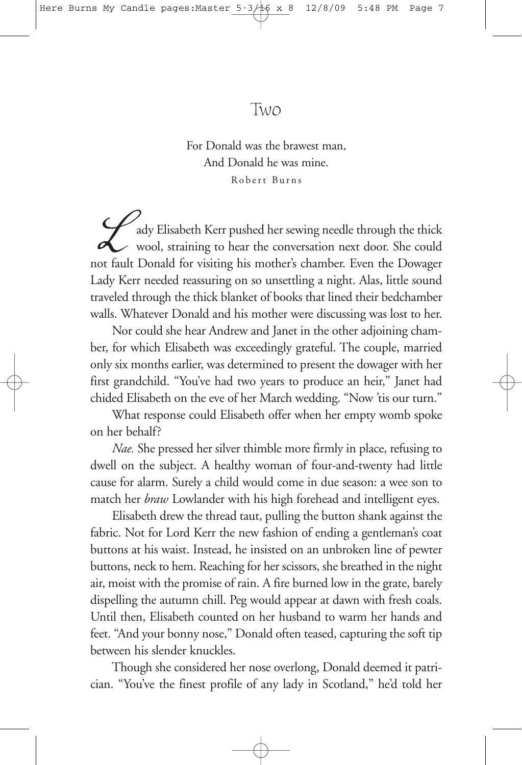## Two

For Donald was the brawest man, And Donald he was mine. Ro b ert Bu r n s

*L*ady Elisabeth Kerr pushed her sewing needle through the thick wool, straining to hear the conversation next door. She could not fault Donald for visiting his mother's chamber. Even the Dowager Lady Kerr needed reassuring on so unsettling a night. Alas, little sound traveled through the thick blanket of books that lined their bedchamber walls. Whatever Donald and his mother were discussing was lost to her.

Nor could she hear Andrew and Janet in the other adjoining chamber, for which Elisabeth was exceedingly grateful. The couple, married only six months earlier, was determined to present the dowager with her first grandchild. "You've had two years to produce an heir," Janet had chided Elisabeth on the eve of her March wedding. "Now 'tis our turn."

What response could Elisabeth offer when her empty womb spoke on her behalf?

*Nae.* She pressed her silver thimble more firmly in place, refusing to dwell on the subject. A healthy woman of four-and-twenty had little cause for alarm. Surely a child would come in due season: a wee son to match her *braw* Lowlander with his high forehead and intelligent eyes.

Elisabeth drew the thread taut, pulling the button shank against the fabric. Not for Lord Kerr the new fashion of ending a gentleman's coat buttons at his waist. Instead, he insisted on an unbroken line of pewter buttons, neck to hem. Reaching for her scissors, she breathed in the night air, moist with the promise of rain. A fire burned low in the grate, barely dispelling the autumn chill. Peg would appear at dawn with fresh coals. Until then, Elisabeth counted on her husband to warm her hands and feet. "And your bonny nose," Donald often teased, capturing the soft tip between his slender knuckles.

Though she considered her nose overlong, Donald deemed it patrician. "You've the finest profile of any lady in Scotland," he'd told her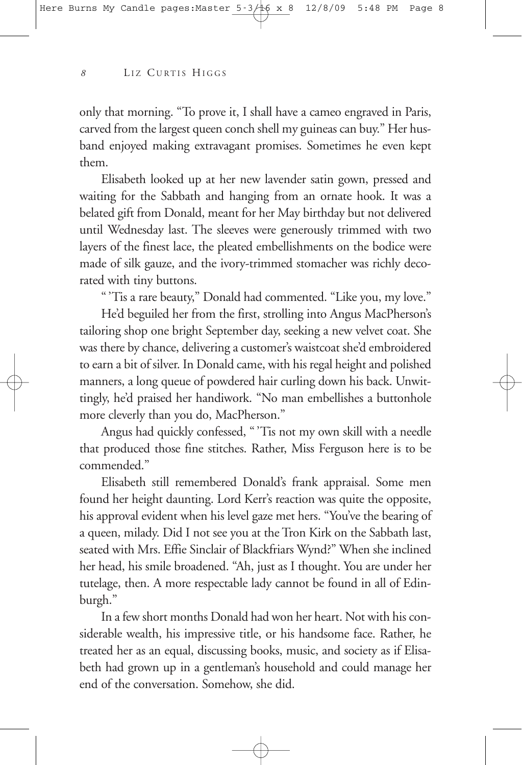only that morning. "To prove it, I shall have a cameo engraved in Paris, carved from the largest queen conch shell my guineas can buy." Her husband enjoyed making extravagant promises. Sometimes he even kept them.

Elisabeth looked up at her new lavender satin gown, pressed and waiting for the Sabbath and hanging from an ornate hook. It was a belated gift from Donald, meant for her May birthday but not delivered until Wednesday last. The sleeves were generously trimmed with two layers of the finest lace, the pleated embellishments on the bodice were made of silk gauze, and the ivory-trimmed stomacher was richly decorated with tiny buttons.

" 'Tis a rare beauty," Donald had commented. "Like you, my love."

He'd beguiled her from the first, strolling into Angus MacPherson's tailoring shop one bright September day, seeking a new velvet coat. She was there by chance, delivering a customer's waistcoat she'd embroidered to earn a bit of silver. In Donald came, with his regal height and polished manners, a long queue of powdered hair curling down his back. Unwittingly, he'd praised her handiwork. "No man embellishes a buttonhole more cleverly than you do, MacPherson."

Angus had quickly confessed, " 'Tis not my own skill with a needle that produced those fine stitches. Rather, Miss Ferguson here is to be commended."

Elisabeth still remembered Donald's frank appraisal. Some men found her height daunting. Lord Kerr's reaction was quite the opposite, his approval evident when his level gaze met hers. "You've the bearing of a queen, milady. Did I not see you at the Tron Kirk on the Sabbath last, seated with Mrs. Effie Sinclair of Blackfriars Wynd?" When she inclined her head, his smile broadened. "Ah, just as I thought. You are under her tutelage, then. A more respectable lady cannot be found in all of Edinburgh."

In a few short months Donald had won her heart. Not with his considerable wealth, his impressive title, or his handsome face. Rather, he treated her as an equal, discussing books, music, and society as if Elisabeth had grown up in a gentleman's household and could manage her end of the conversation. Somehow, she did.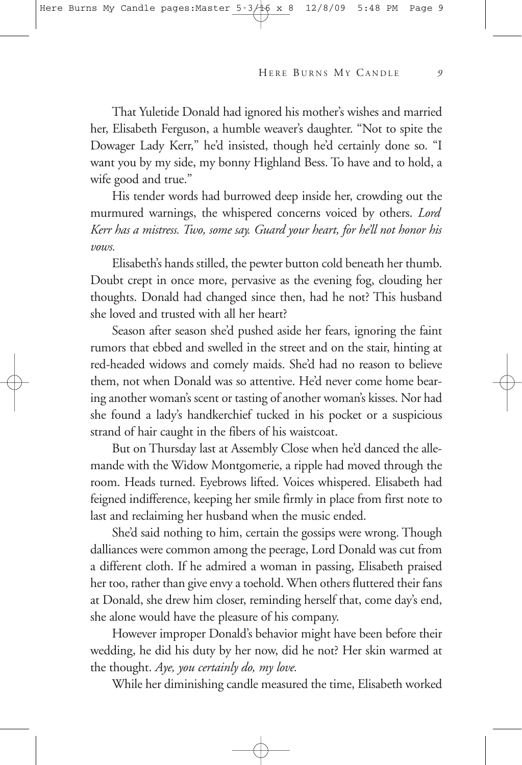That Yuletide Donald had ignored his mother's wishes and married her, Elisabeth Ferguson, a humble weaver's daughter. "Not to spite the Dowager Lady Kerr," he'd insisted, though he'd certainly done so. "I want you by my side, my bonny Highland Bess. To have and to hold, a wife good and true."

His tender words had burrowed deep inside her, crowding out the murmured warnings, the whispered concerns voiced by others. *Lord Kerr has a mistress. Two, some say. Guard your heart, for he'll not honor his vows.*

Elisabeth's hands stilled, the pewter button cold beneath her thumb. Doubt crept in once more, pervasive as the evening fog, clouding her thoughts. Donald had changed since then, had he not? This husband she loved and trusted with all her heart?

Season after season she'd pushed aside her fears, ignoring the faint rumors that ebbed and swelled in the street and on the stair, hinting at red-headed widows and comely maids. She'd had no reason to believe them, not when Donald was so attentive. He'd never come home bearing another woman's scent or tasting of another woman's kisses. Nor had she found a lady's handkerchief tucked in his pocket or a suspicious strand of hair caught in the fibers of his waistcoat.

But on Thursday last at Assembly Close when he'd danced the allemande with the Widow Montgomerie, a ripple had moved through the room. Heads turned. Eyebrows lifted. Voices whispered. Elisabeth had feigned indifference, keeping her smile firmly in place from first note to last and reclaiming her husband when the music ended.

She'd said nothing to him, certain the gossips were wrong. Though dalliances were common among the peerage, Lord Donald was cut from a different cloth. If he admired a woman in passing, Elisabeth praised her too, rather than give envy a toehold. When others fluttered their fans at Donald, she drew him closer, reminding herself that, come day's end, she alone would have the pleasure of his company.

However improper Donald's behavior might have been before their wedding, he did his duty by her now, did he not? Her skin warmed at the thought. *Aye, you certainly do, my love.*

While her diminishing candle measured the time, Elisabeth worked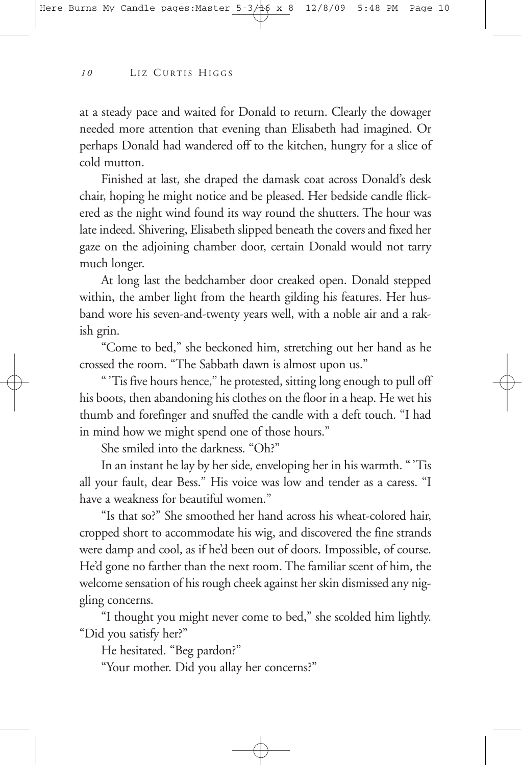at a steady pace and waited for Donald to return. Clearly the dowager needed more attention that evening than Elisabeth had imagined. Or perhaps Donald had wandered off to the kitchen, hungry for a slice of cold mutton.

Finished at last, she draped the damask coat across Donald's desk chair, hoping he might notice and be pleased. Her bedside candle flickered as the night wind found its way round the shutters. The hour was late indeed. Shivering, Elisabeth slipped beneath the covers and fixed her gaze on the adjoining chamber door, certain Donald would not tarry much longer.

At long last the bedchamber door creaked open. Donald stepped within, the amber light from the hearth gilding his features. Her husband wore his seven-and-twenty years well, with a noble air and a rakish grin.

"Come to bed," she beckoned him, stretching out her hand as he crossed the room. "The Sabbath dawn is almost upon us."

"'Tis five hours hence," he protested, sitting long enough to pull off his boots, then abandoning his clothes on the floor in a heap. He wet his thumb and forefinger and snuffed the candle with a deft touch. "I had in mind how we might spend one of those hours."

She smiled into the darkness. "Oh?"

In an instant he lay by her side, enveloping her in his warmth. " 'Tis all your fault, dear Bess." His voice was low and tender as a caress. "I have a weakness for beautiful women."

"Is that so?" She smoothed her hand across his wheat-colored hair, cropped short to accommodate his wig, and discovered the fine strands were damp and cool, as if he'd been out of doors. Impossible, of course. He'd gone no farther than the next room. The familiar scent of him, the welcome sensation of his rough cheek against her skin dismissed any niggling concerns.

"I thought you might never come to bed," she scolded him lightly. "Did you satisfy her?"

He hesitated. "Beg pardon?"

"Your mother. Did you allay her concerns?"